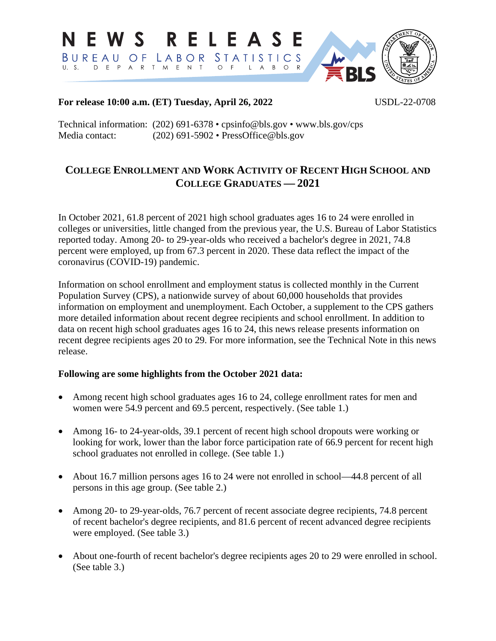

### **For release 10:00 a.m. (ET) Tuesday, April 26, 2022** USDL-22-0708

Technical information: (202) 691-6378 • cpsinfo@bls.gov • www.bls.gov/cps Media contact: (202) 691-5902 • PressOffice@bls.gov

# **COLLEGE ENROLLMENT AND WORK ACTIVITY OF RECENT HIGH SCHOOL AND COLLEGE GRADUATES — 2021**

In October 2021, 61.8 percent of 2021 high school graduates ages 16 to 24 were enrolled in colleges or universities, little changed from the previous year, the U.S. Bureau of Labor Statistics reported today. Among 20- to 29-year-olds who received a bachelor's degree in 2021, 74.8 percent were employed, up from 67.3 percent in 2020. These data reflect the impact of the coronavirus (COVID-19) pandemic.

Information on school enrollment and employment status is collected monthly in the Current Population Survey (CPS), a nationwide survey of about 60,000 households that provides information on employment and unemployment. Each October, a supplement to the CPS gathers more detailed information about recent degree recipients and school enrollment. In addition to data on recent high school graduates ages 16 to 24, this news release presents information on recent degree recipients ages 20 to 29. For more information, see the Technical Note in this news release.

### **Following are some highlights from the October 2021 data:**

- Among recent high school graduates ages 16 to 24, college enrollment rates for men and women were 54.9 percent and 69.5 percent, respectively. (See table 1.)
- Among 16- to 24-year-olds, 39.1 percent of recent high school dropouts were working or looking for work, lower than the labor force participation rate of 66.9 percent for recent high school graduates not enrolled in college. (See table 1.)
- About 16.7 million persons ages 16 to 24 were not enrolled in school—44.8 percent of all persons in this age group. (See table 2.)
- Among 20- to 29-year-olds, 76.7 percent of recent associate degree recipients, 74.8 percent of recent bachelor's degree recipients, and 81.6 percent of recent advanced degree recipients were employed. (See table 3.)
- About one-fourth of recent bachelor's degree recipients ages 20 to 29 were enrolled in school. (See table 3.)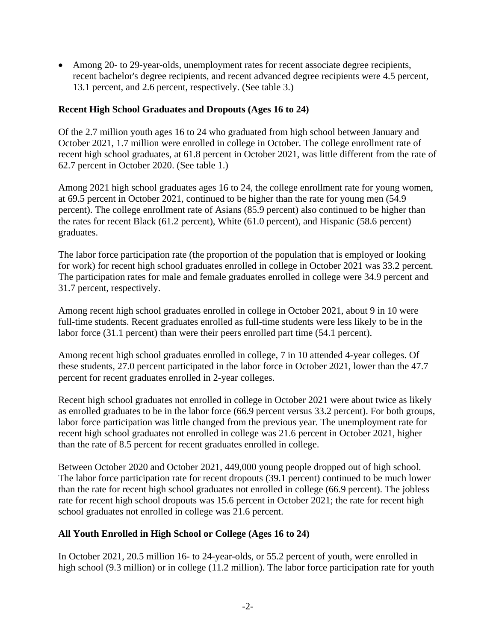• Among 20- to 29-year-olds, unemployment rates for recent associate degree recipients, recent bachelor's degree recipients, and recent advanced degree recipients were 4.5 percent, 13.1 percent, and 2.6 percent, respectively. (See table 3.)

### **Recent High School Graduates and Dropouts (Ages 16 to 24)**

Of the 2.7 million youth ages 16 to 24 who graduated from high school between January and October 2021, 1.7 million were enrolled in college in October. The college enrollment rate of recent high school graduates, at 61.8 percent in October 2021, was little different from the rate of 62.7 percent in October 2020. (See table 1.)

Among 2021 high school graduates ages 16 to 24, the college enrollment rate for young women, at 69.5 percent in October 2021, continued to be higher than the rate for young men (54.9 percent). The college enrollment rate of Asians (85.9 percent) also continued to be higher than the rates for recent Black (61.2 percent), White (61.0 percent), and Hispanic (58.6 percent) graduates.

The labor force participation rate (the proportion of the population that is employed or looking for work) for recent high school graduates enrolled in college in October 2021 was 33.2 percent. The participation rates for male and female graduates enrolled in college were 34.9 percent and 31.7 percent, respectively.

Among recent high school graduates enrolled in college in October 2021, about 9 in 10 were full-time students. Recent graduates enrolled as full-time students were less likely to be in the labor force (31.1 percent) than were their peers enrolled part time (54.1 percent).

Among recent high school graduates enrolled in college, 7 in 10 attended 4-year colleges. Of these students, 27.0 percent participated in the labor force in October 2021, lower than the 47.7 percent for recent graduates enrolled in 2-year colleges.

Recent high school graduates not enrolled in college in October 2021 were about twice as likely as enrolled graduates to be in the labor force (66.9 percent versus 33.2 percent). For both groups, labor force participation was little changed from the previous year. The unemployment rate for recent high school graduates not enrolled in college was 21.6 percent in October 2021, higher than the rate of 8.5 percent for recent graduates enrolled in college.

Between October 2020 and October 2021, 449,000 young people dropped out of high school. The labor force participation rate for recent dropouts (39.1 percent) continued to be much lower than the rate for recent high school graduates not enrolled in college (66.9 percent). The jobless rate for recent high school dropouts was 15.6 percent in October 2021; the rate for recent high school graduates not enrolled in college was 21.6 percent.

### **All Youth Enrolled in High School or College (Ages 16 to 24)**

In October 2021, 20.5 million 16- to 24-year-olds, or 55.2 percent of youth, were enrolled in high school (9.3 million) or in college (11.2 million). The labor force participation rate for youth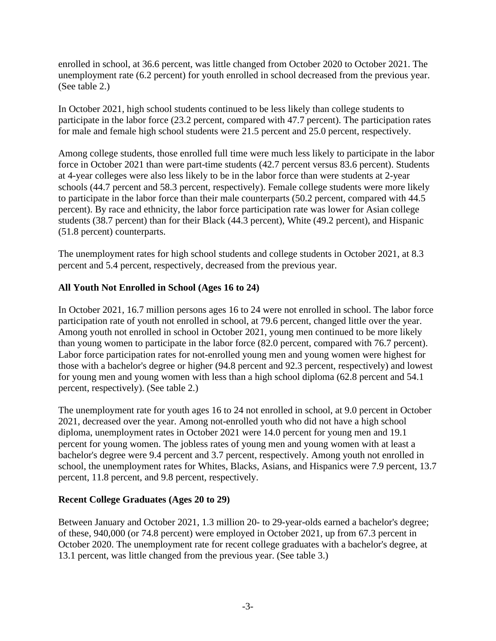enrolled in school, at 36.6 percent, was little changed from October 2020 to October 2021. The unemployment rate (6.2 percent) for youth enrolled in school decreased from the previous year. (See table 2.)

In October 2021, high school students continued to be less likely than college students to participate in the labor force (23.2 percent, compared with 47.7 percent). The participation rates for male and female high school students were 21.5 percent and 25.0 percent, respectively.

Among college students, those enrolled full time were much less likely to participate in the labor force in October 2021 than were part-time students (42.7 percent versus 83.6 percent). Students at 4-year colleges were also less likely to be in the labor force than were students at 2-year schools (44.7 percent and 58.3 percent, respectively). Female college students were more likely to participate in the labor force than their male counterparts (50.2 percent, compared with 44.5 percent). By race and ethnicity, the labor force participation rate was lower for Asian college students (38.7 percent) than for their Black (44.3 percent), White (49.2 percent), and Hispanic (51.8 percent) counterparts.

The unemployment rates for high school students and college students in October 2021, at 8.3 percent and 5.4 percent, respectively, decreased from the previous year.

### **All Youth Not Enrolled in School (Ages 16 to 24)**

In October 2021, 16.7 million persons ages 16 to 24 were not enrolled in school. The labor force participation rate of youth not enrolled in school, at 79.6 percent, changed little over the year. Among youth not enrolled in school in October 2021, young men continued to be more likely than young women to participate in the labor force (82.0 percent, compared with 76.7 percent). Labor force participation rates for not-enrolled young men and young women were highest for those with a bachelor's degree or higher (94.8 percent and 92.3 percent, respectively) and lowest for young men and young women with less than a high school diploma (62.8 percent and 54.1 percent, respectively). (See table 2.)

The unemployment rate for youth ages 16 to 24 not enrolled in school, at 9.0 percent in October 2021, decreased over the year. Among not-enrolled youth who did not have a high school diploma, unemployment rates in October 2021 were 14.0 percent for young men and 19.1 percent for young women. The jobless rates of young men and young women with at least a bachelor's degree were 9.4 percent and 3.7 percent, respectively. Among youth not enrolled in school, the unemployment rates for Whites, Blacks, Asians, and Hispanics were 7.9 percent, 13.7 percent, 11.8 percent, and 9.8 percent, respectively.

### **Recent College Graduates (Ages 20 to 29)**

Between January and October 2021, 1.3 million 20- to 29-year-olds earned a bachelor's degree; of these, 940,000 (or 74.8 percent) were employed in October 2021, up from 67.3 percent in October 2020. The unemployment rate for recent college graduates with a bachelor's degree, at 13.1 percent, was little changed from the previous year. (See table 3.)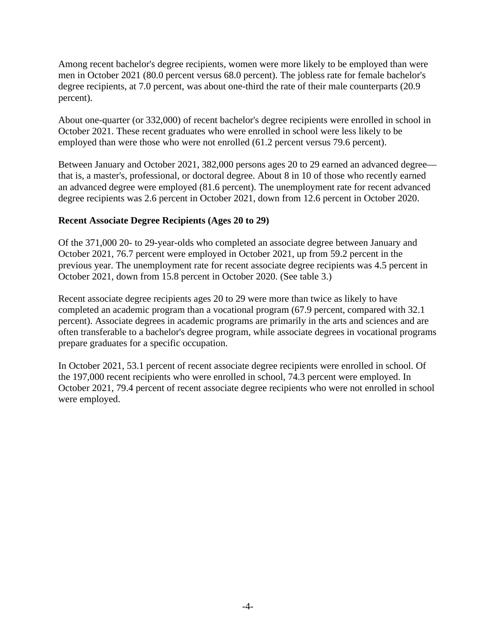Among recent bachelor's degree recipients, women were more likely to be employed than were men in October 2021 (80.0 percent versus 68.0 percent). The jobless rate for female bachelor's degree recipients, at 7.0 percent, was about one-third the rate of their male counterparts (20.9) percent).

About one-quarter (or 332,000) of recent bachelor's degree recipients were enrolled in school in October 2021. These recent graduates who were enrolled in school were less likely to be employed than were those who were not enrolled (61.2 percent versus 79.6 percent).

Between January and October 2021, 382,000 persons ages 20 to 29 earned an advanced degree that is, a master's, professional, or doctoral degree. About 8 in 10 of those who recently earned an advanced degree were employed (81.6 percent). The unemployment rate for recent advanced degree recipients was 2.6 percent in October 2021, down from 12.6 percent in October 2020.

#### **Recent Associate Degree Recipients (Ages 20 to 29)**

Of the 371,000 20- to 29-year-olds who completed an associate degree between January and October 2021, 76.7 percent were employed in October 2021, up from 59.2 percent in the previous year. The unemployment rate for recent associate degree recipients was 4.5 percent in October 2021, down from 15.8 percent in October 2020. (See table 3.)

Recent associate degree recipients ages 20 to 29 were more than twice as likely to have completed an academic program than a vocational program (67.9 percent, compared with 32.1 percent). Associate degrees in academic programs are primarily in the arts and sciences and are often transferable to a bachelor's degree program, while associate degrees in vocational programs prepare graduates for a specific occupation.

In October 2021, 53.1 percent of recent associate degree recipients were enrolled in school. Of the 197,000 recent recipients who were enrolled in school, 74.3 percent were employed. In October 2021, 79.4 percent of recent associate degree recipients who were not enrolled in school were employed.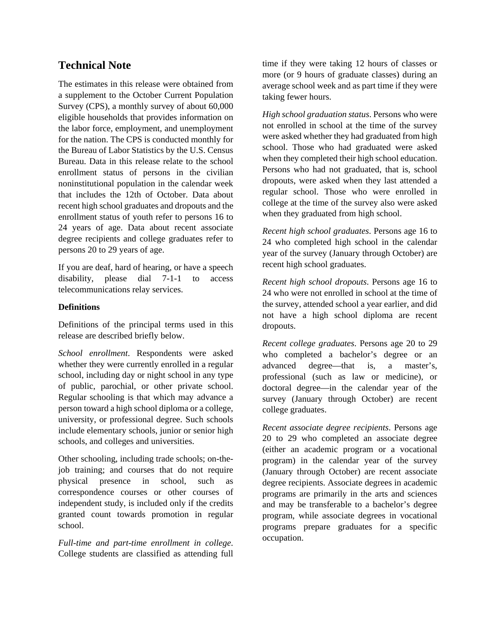## **Technical Note**

The estimates in this release were obtained from a supplement to the October Current Population Survey (CPS), a monthly survey of about 60,000 eligible households that provides information on the labor force, employment, and unemployment for the nation. The CPS is conducted monthly for the Bureau of Labor Statistics by the U.S. Census Bureau. Data in this release relate to the school enrollment status of persons in the civilian noninstitutional population in the calendar week that includes the 12th of October. Data about recent high school graduates and dropouts and the enrollment status of youth refer to persons 16 to 24 years of age. Data about recent associate degree recipients and college graduates refer to persons 20 to 29 years of age.

If you are deaf, hard of hearing, or have a speech disability, please dial 7-1-1 to access telecommunications relay services.

#### **Definitions**

Definitions of the principal terms used in this release are described briefly below.

*School enrollment*. Respondents were asked whether they were currently enrolled in a regular school, including day or night school in any type of public, parochial, or other private school. Regular schooling is that which may advance a person toward a high school diploma or a college, university, or professional degree. Such schools include elementary schools, junior or senior high schools, and colleges and universities.

Other schooling, including trade schools; on-thejob training; and courses that do not require physical presence in school, such as correspondence courses or other courses of independent study, is included only if the credits granted count towards promotion in regular school.

*Full-time and part-time enrollment in college*. College students are classified as attending full time if they were taking 12 hours of classes or more (or 9 hours of graduate classes) during an average school week and as part time if they were taking fewer hours.

*High school graduation status*. Persons who were not enrolled in school at the time of the survey were asked whether they had graduated from high school. Those who had graduated were asked when they completed their high school education. Persons who had not graduated, that is, school dropouts, were asked when they last attended a regular school. Those who were enrolled in college at the time of the survey also were asked when they graduated from high school.

*Recent high school graduates*. Persons age 16 to 24 who completed high school in the calendar year of the survey (January through October) are recent high school graduates.

*Recent high school dropouts*. Persons age 16 to 24 who were not enrolled in school at the time of the survey, attended school a year earlier, and did not have a high school diploma are recent dropouts.

*Recent college graduates*. Persons age 20 to 29 who completed a bachelor's degree or an advanced degree—that is, a master's, professional (such as law or medicine), or doctoral degree—in the calendar year of the survey (January through October) are recent college graduates.

*Recent associate degree recipients*. Persons age 20 to 29 who completed an associate degree (either an academic program or a vocational program) in the calendar year of the survey (January through October) are recent associate degree recipients. Associate degrees in academic programs are primarily in the arts and sciences and may be transferable to a bachelor's degree program, while associate degrees in vocational programs prepare graduates for a specific occupation.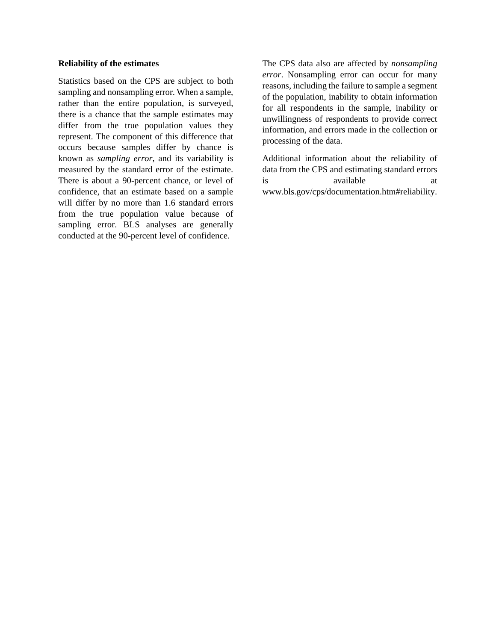#### **Reliability of the estimates**

Statistics based on the CPS are subject to both sampling and nonsampling error. When a sample, rather than the entire population, is surveyed, there is a chance that the sample estimates may differ from the true population values they represent. The component of this difference that occurs because samples differ by chance is known as *sampling error*, and its variability is measured by the standard error of the estimate. There is about a 90-percent chance, or level of confidence, that an estimate based on a sample will differ by no more than 1.6 standard errors from the true population value because of sampling error. BLS analyses are generally conducted at the 90-percent level of confidence.

The CPS data also are affected by *nonsampling error*. Nonsampling error can occur for many reasons, including the failure to sample a segment of the population, inability to obtain information for all respondents in the sample, inability or unwillingness of respondents to provide correct information, and errors made in the collection or processing of the data.

Additional information about the reliability of data from the CPS and estimating standard errors is available at a www.bls.gov/cps/documentation.htm#reliability.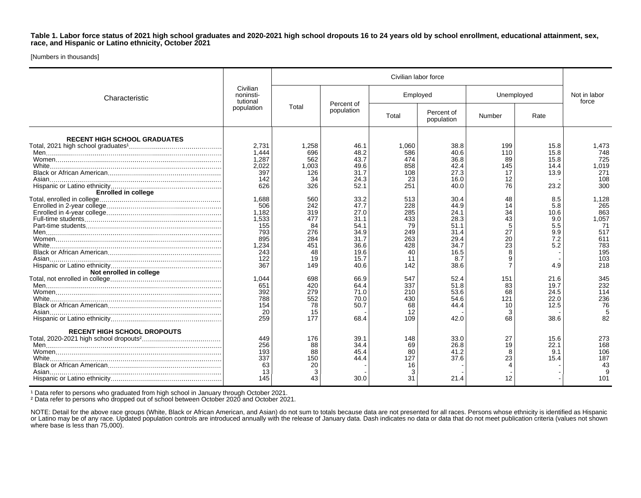**Table 1. Labor force status of 2021 high school graduates and 2020-2021 high school dropouts 16 to 24 years old by school enrollment, educational attainment, sex, race, and Hispanic or Latino ethnicity, October 2021**

[Numbers in thousands]

| Characteristic                      | Civilian<br>noninsti-<br>tutional<br>population | Civilian labor force |                          |          |                          |            |      |                       |
|-------------------------------------|-------------------------------------------------|----------------------|--------------------------|----------|--------------------------|------------|------|-----------------------|
|                                     |                                                 | Total                | Percent of<br>population | Employed |                          | Unemployed |      | Not in labor<br>force |
|                                     |                                                 |                      |                          | Total    | Percent of<br>population | Number     | Rate |                       |
| <b>RECENT HIGH SCHOOL GRADUATES</b> |                                                 |                      |                          |          |                          |            |      |                       |
|                                     | 2.731                                           | 1,258                | 46.1                     | 1.060    | 38.8                     | 199        | 15.8 | 1,473                 |
|                                     | 1.444                                           | 696                  | 48.2                     | 586      | 40.6                     | 110        | 15.8 | 748                   |
|                                     | 1.287                                           | 562                  | 43.7                     | 474      | 36.8                     | 89         | 15.8 | 725                   |
|                                     | 2,022                                           | 1,003                | 49.6                     | 858      | 42.4                     | 145        | 14.4 | 1,019                 |
|                                     | 397                                             | 126                  | 31.7                     | 108      | 27.3                     | 17         | 13.9 | 271                   |
|                                     |                                                 |                      |                          |          |                          |            |      | 108                   |
|                                     | 142                                             | 34                   | 24.3                     | 23       | 16.0                     | 12         |      |                       |
|                                     | 626                                             | 326                  | 52.1                     | 251      | 40.0                     | 76         | 23.2 | 300                   |
| <b>Enrolled in college</b>          |                                                 |                      |                          |          |                          |            |      |                       |
|                                     | 1,688                                           | 560                  | 33.2                     | 513      | 30.4                     | 48         | 8.5  | 1,128                 |
|                                     | 506                                             | 242                  | 47.7                     | 228      | 44.9                     | 14         | 5.8  | 265                   |
|                                     | 1.182                                           | 319                  | 27.0                     | 285      | 24.1                     | 34         | 10.6 | 863                   |
|                                     | 1.533                                           | 477                  | 31.1                     | 433      | 28.3                     | 43         | 9.0  | 1.057                 |
|                                     | 155                                             | 84                   | 54.1                     | 79       | 51.1                     | 5          | 5.5  | 71                    |
|                                     | 793                                             | 276                  | 34.9                     | 249      | 31.4                     | 27         | 9.9  | 517                   |
|                                     | 895                                             | 284                  | 31.7                     | 263      | 29.4                     | 20         | 7.2  | 611                   |
|                                     | 1.234                                           | 451                  | 36.6                     | 428      | 34.7                     | 23         | 5.2  | 783                   |
|                                     | 243                                             | 48                   | 19.6                     | 40       | 16.5                     |            |      | 195                   |
|                                     | 122                                             | 19                   | 15.7                     | 11       | 8.7                      |            |      | 103                   |
|                                     | 367                                             | 149                  |                          |          |                          |            | 4.9  | 218                   |
|                                     |                                                 |                      | 40.6                     | 142      | 38.6                     |            |      |                       |
| Not enrolled in college             |                                                 |                      |                          |          |                          |            |      |                       |
|                                     | 1.044                                           | 698                  | 66.9                     | 547      | 52.4                     | 151        | 21.6 | 345                   |
|                                     | 651                                             | 420                  | 64.4                     | 337      | 51.8                     | 83         | 19.7 | 232                   |
|                                     | 392                                             | 279                  | 71.0                     | 210      | 53.6                     | 68         | 24.5 | 114                   |
|                                     | 788                                             | 552                  | 70.0                     | 430      | 54.6                     | 121        | 22.0 | 236                   |
|                                     | 154                                             | 78                   | 50.7                     | 68       | 44.4                     | 10         | 12.5 | 76                    |
|                                     | 20                                              | 15                   |                          | 12       |                          |            |      | 5                     |
|                                     | 259                                             | 177                  | 68.4                     | 109      | 42.0                     | 68         | 38.6 | 82                    |
| <b>RECENT HIGH SCHOOL DROPOUTS</b>  |                                                 |                      |                          |          |                          |            |      |                       |
|                                     | 449                                             | 176                  | 39.1                     | 148      | 33.0                     | 27         | 15.6 | 273                   |
|                                     | 256                                             | 88                   | 34.4                     | 69       | 26.8                     | 19         | 22.1 | 168                   |
|                                     |                                                 | 88                   |                          |          | 41.2                     |            |      | 106                   |
|                                     | 193                                             |                      | 45.4                     | 80       |                          | 8          | 9.1  |                       |
|                                     | 337                                             | 150                  | 44.4                     | 127      | 37.6                     | 23         | 15.4 | 187                   |
|                                     | 63                                              | 20                   |                          | 16       |                          |            |      | 43                    |
|                                     | -13                                             | 3                    |                          | 3        |                          |            |      |                       |
|                                     | 145                                             | 43                   | 30.0                     | 31       | 21.4                     | 12         |      | 101                   |

<sup>1</sup> Data refer to persons who graduated from high school in January through October 2021.

² Data refer to persons who dropped out of school between October 2020 and October 2021.

NOTE: Detail for the above race groups (White, Black or African American, and Asian) do not sum to totals because data are not presented for all races. Persons whose ethnicity is identified as Hispanic or Latino may be of any race. Updated population controls are introduced annually with the release of January data. Dash indicates no data or data that do not meet publication criteria (values not shown where base is less than 75,000).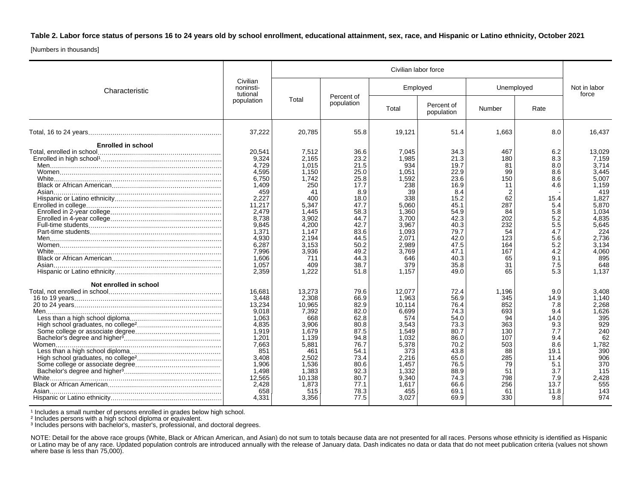**Table 2. Labor force status of persons 16 to 24 years old by school enrollment, educational attainment, sex, race, and Hispanic or Latino ethnicity, October 2021**

[Numbers in thousands]

| Characteristic                                              |                                                                                                                                                                         | Civilian labor force                                                                                                                                         |                                                                                                                                                     |                                                                                                                                                            |                                                                                                                                                     |                                                                                                                   |                                                                                                                             |                                                                                                                                                                  |
|-------------------------------------------------------------|-------------------------------------------------------------------------------------------------------------------------------------------------------------------------|--------------------------------------------------------------------------------------------------------------------------------------------------------------|-----------------------------------------------------------------------------------------------------------------------------------------------------|------------------------------------------------------------------------------------------------------------------------------------------------------------|-----------------------------------------------------------------------------------------------------------------------------------------------------|-------------------------------------------------------------------------------------------------------------------|-----------------------------------------------------------------------------------------------------------------------------|------------------------------------------------------------------------------------------------------------------------------------------------------------------|
|                                                             | Civilian<br>noninsti-<br>tutional<br>population                                                                                                                         | Total                                                                                                                                                        | Percent of<br>population                                                                                                                            | Employed                                                                                                                                                   |                                                                                                                                                     | Unemployed                                                                                                        |                                                                                                                             | Not in labor<br>force                                                                                                                                            |
|                                                             |                                                                                                                                                                         |                                                                                                                                                              |                                                                                                                                                     | Total                                                                                                                                                      | Percent of<br>population                                                                                                                            | Number                                                                                                            | Rate                                                                                                                        |                                                                                                                                                                  |
|                                                             | 37,222                                                                                                                                                                  | 20,785                                                                                                                                                       | 55.8                                                                                                                                                | 19,121                                                                                                                                                     | 51.4                                                                                                                                                | 1,663                                                                                                             | 8.0                                                                                                                         | 16,437                                                                                                                                                           |
| <b>Enrolled in school</b>                                   |                                                                                                                                                                         |                                                                                                                                                              |                                                                                                                                                     |                                                                                                                                                            |                                                                                                                                                     |                                                                                                                   |                                                                                                                             |                                                                                                                                                                  |
|                                                             | 20.541<br>9,324<br>4,729<br>4,595<br>6,750<br>1.409<br>459<br>2,227<br>11.217<br>2,479<br>8,738<br>9,845<br>1,371<br>4.930<br>6,287<br>7,996<br>1,606<br>1,057<br>2.359 | 7,512<br>2.165<br>1,015<br>1,150<br>1,742<br>250<br>41<br>400<br>5,347<br>1,445<br>3,902<br>4,200<br>1.147<br>2.194<br>3,153<br>3,936<br>711<br>409<br>1.222 | 36.6<br>23.2<br>21.5<br>25.0<br>25.8<br>17.7<br>8.9<br>18.0<br>47.7<br>58.3<br>44.7<br>42.7<br>83.6<br>44.5<br>50.2<br>49.2<br>44.3<br>38.7<br>51.8 | 7.045<br>1,985<br>934<br>1,051<br>1,592<br>238<br>39<br>338<br>5.060<br>1,360<br>3,700<br>3,967<br>1.093<br>2.071<br>2,989<br>3.769<br>646<br>379<br>1.157 | 34.3<br>21.3<br>19.7<br>22.9<br>23.6<br>16.9<br>8.4<br>15.2<br>45.1<br>54.9<br>42.3<br>40.3<br>79.7<br>42.0<br>47.5<br>47.1<br>40.3<br>35.8<br>49.0 | 467<br>180<br>81<br>99<br>150<br>11<br>62<br>287<br>84<br>202<br>232<br>54<br>123<br>164<br>167<br>65<br>31<br>65 | 6.2<br>8.3<br>8.0<br>8.6<br>8.6<br>4.6<br>15.4<br>5.4<br>5.8<br>5.2<br>5.5<br>4.7<br>5.6<br>5.2<br>4.2<br>9.1<br>7.5<br>5.3 | 13,029<br>7,159<br>3,714<br>3.445<br>5,007<br>1.159<br>419<br>1,827<br>5,870<br>1,034<br>4,835<br>5,645<br>224<br>2,736<br>3,134<br>4,060<br>895<br>648<br>1.137 |
| Not enrolled in school<br>Asian………………………………………………………………………… | 16,681<br>3,448<br>13,234<br>9,018<br>1.063<br>4.835<br>1,919<br>1,201<br>7,663<br>851<br>3,408<br>1,906<br>1.498<br>12,565<br>2,428<br>658<br>4,331                    | 13,273<br>2,308<br>10,965<br>7,392<br>668<br>3,906<br>1,679<br>1,139<br>5,881<br>461<br>2,502<br>1,536<br>1,383<br>10,138<br>1,873<br>515<br>3,356           | 79.6<br>66.9<br>82.9<br>82.0<br>62.8<br>80.8<br>87.5<br>94.8<br>76.7<br>54.1<br>73.4<br>80.6<br>92.3<br>80.7<br>77.1<br>78.3<br>77.5                | 12,077<br>1,963<br>10,114<br>6,699<br>574<br>3,543<br>1.549<br>1.032<br>5,378<br>373<br>2,216<br>1.457<br>1,332<br>9.340<br>1.617<br>455<br>3,027          | 72.4<br>56.9<br>76.4<br>74.3<br>54.0<br>73.3<br>80.7<br>86.0<br>70.2<br>43.8<br>65.0<br>76.5<br>88.9<br>74.3<br>66.6<br>69.1<br>69.9                | 1,196<br>345<br>852<br>693<br>94<br>363<br>130<br>107<br>503<br>88<br>285<br>79<br>51<br>798<br>256<br>61<br>330  | 9.0<br>14.9<br>7.8<br>9.4<br>14.0<br>9.3<br>7.7<br>9.4<br>8.6<br>19.1<br>11.4<br>5.1<br>3.7<br>7.9<br>13.7<br>11.8<br>9.8   | 3,408<br>1.140<br>2,268<br>1,626<br>395<br>929<br>240<br>62<br>1,782<br>390<br>906<br>370<br>115<br>2.428<br>555<br>143<br>974                                   |

<sup>1</sup> Includes a small number of persons enrolled in grades below high school.

² Includes persons with a high school diploma or equivalent.

³ Includes persons with bachelor's, master's, professional, and doctoral degrees.

NOTE: Detail for the above race groups (White, Black or African American, and Asian) do not sum to totals because data are not presented for all races. Persons whose ethnicity is identified as Hispanic or Latino may be of any race. Updated population controls are introduced annually with the release of January data. Dash indicates no data or data that do not meet publication criteria (values not shown where base is less than 75,000).